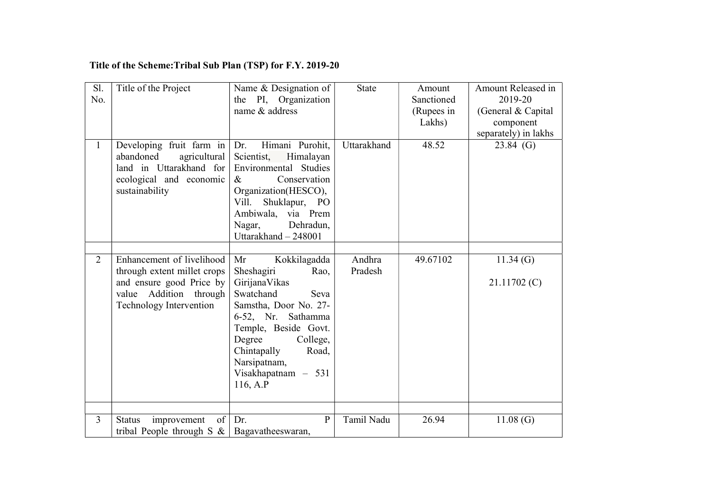| Sl.<br>No.     | Title of the Project                                                                                                                      | Name & Designation of<br>the PI, Organization<br>name & address                                                                                                                                                                                               | <b>State</b>      | Amount<br>Sanctioned<br>(Rupees in<br>Lakhs) | Amount Released in<br>2019-20<br>(General & Capital<br>component<br>separately) in lakhs |
|----------------|-------------------------------------------------------------------------------------------------------------------------------------------|---------------------------------------------------------------------------------------------------------------------------------------------------------------------------------------------------------------------------------------------------------------|-------------------|----------------------------------------------|------------------------------------------------------------------------------------------|
| $\mathbf{1}$   | Developing fruit farm in<br>agricultural<br>abandoned<br>land in Uttarakhand for<br>ecological and economic<br>sustainability             | Himani Purohit,<br>Dr.<br>Scientist,<br>Himalayan<br>Environmental Studies<br>Conservation<br>$\&$<br>Organization(HESCO),<br>Shuklapur, PO<br>Vill.<br>Ambiwala,<br>via Prem<br>Nagar,<br>Dehradun,<br>Uttarakhand - 248001                                  | Uttarakhand       | 48.52                                        | $23.84$ (G)                                                                              |
|                |                                                                                                                                           |                                                                                                                                                                                                                                                               |                   |                                              |                                                                                          |
| $\overline{2}$ | Enhancement of livelihood<br>through extent millet crops<br>and ensure good Price by<br>value Addition through<br>Technology Intervention | Kokkilagadda<br>Mr<br>Sheshagiri<br>Rao,<br>GirijanaVikas<br>Swatchand<br>Seva<br>Samstha, Door No. 27-<br>$6-52$ , Nr.<br>Sathamma<br>Temple, Beside Govt.<br>Degree<br>College,<br>Chintapally<br>Road,<br>Narsipatnam,<br>Visakhapatnam $-531$<br>116, A.P | Andhra<br>Pradesh | 49.67102                                     | 11.34(G)<br>21.11702 (C)                                                                 |
|                |                                                                                                                                           |                                                                                                                                                                                                                                                               |                   |                                              |                                                                                          |
| 3              | of<br><b>Status</b><br>improvement<br>tribal People through S $\&$   Bagavatheeswaran,                                                    | ${\bf P}$<br>Dr.                                                                                                                                                                                                                                              | Tamil Nadu        | 26.94                                        | 11.08(G)                                                                                 |

## Title of the Scheme:Tribal Sub Plan (TSP) for F.Y. 2019-20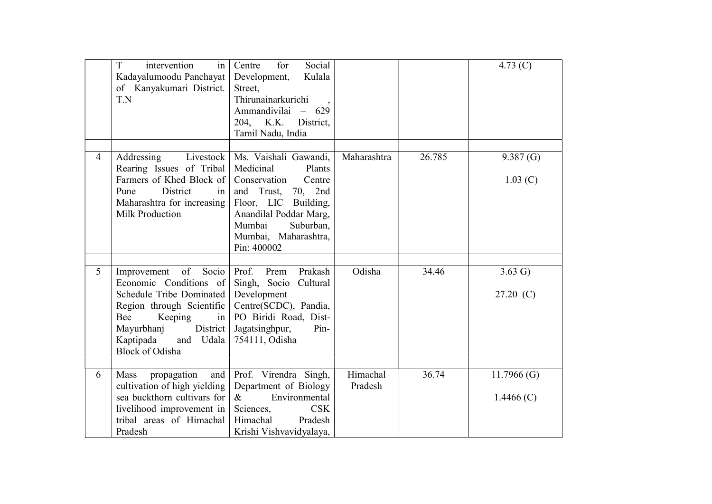|                | T<br>intervention<br>in<br>Kadayalumoodu Panchayat<br>of Kanyakumari District.<br>T.N                                                                                                                                           | Social<br>for<br>Centre<br>Kulala<br>Development,<br>Street,<br>Thirunainarkurichi<br>Ammandivilai<br>$-629$<br>204, K.K.<br>District,<br>Tamil Nadu, India                                                        |                     |        | 4.73 $(C)$                    |
|----------------|---------------------------------------------------------------------------------------------------------------------------------------------------------------------------------------------------------------------------------|--------------------------------------------------------------------------------------------------------------------------------------------------------------------------------------------------------------------|---------------------|--------|-------------------------------|
| $\overline{4}$ | Livestock  <br>Addressing<br>Rearing Issues of Tribal<br>Farmers of Khed Block of<br>District<br>Pune<br>1n<br>Maharashtra for increasing<br>Milk Production                                                                    | Ms. Vaishali Gawandi,<br>Medicinal<br>Plants<br>Conservation<br>Centre<br>and<br>Trust,<br>70, 2nd<br>Floor, LIC Building,<br>Anandilal Poddar Marg,<br>Mumbai<br>Suburban,<br>Mumbai, Maharashtra,<br>Pin: 400002 | Maharashtra         | 26.785 | 9.387(G)<br>1.03(C)           |
| 5              | Improvement of<br>Socio $ $<br>Economic Conditions of<br>Schedule Tribe Dominated<br>Region through Scientific<br>Bee<br>Keeping<br>$\frac{1}{2}$<br>Mayurbhanj<br>District<br>Kaptipada<br>and Udala<br><b>Block of Odisha</b> | Prakash<br>Prof.<br>Prem<br>Singh, Socio<br>Cultural<br>Development<br>Centre(SCDC), Pandia,<br>PO Biridi Road, Dist-<br>Jagatsinghpur,<br>Pin-<br>754111, Odisha                                                  | Odisha              | 34.46  | $3.63 \text{ G}$<br>27.20(C)  |
| 6              | Mass<br>propagation<br>and<br>cultivation of high yielding<br>sea buckthorn cultivars for<br>livelihood improvement in<br>tribal areas of Himachal<br>Pradesh                                                                   | Prof. Virendra Singh,<br>Department of Biology<br>Environmental<br>$\&$<br>Sciences,<br><b>CSK</b><br>Himachal<br>Pradesh<br>Krishi Vishvavidyalaya,                                                               | Himachal<br>Pradesh | 36.74  | $11.7966$ (G)<br>1.4466 $(C)$ |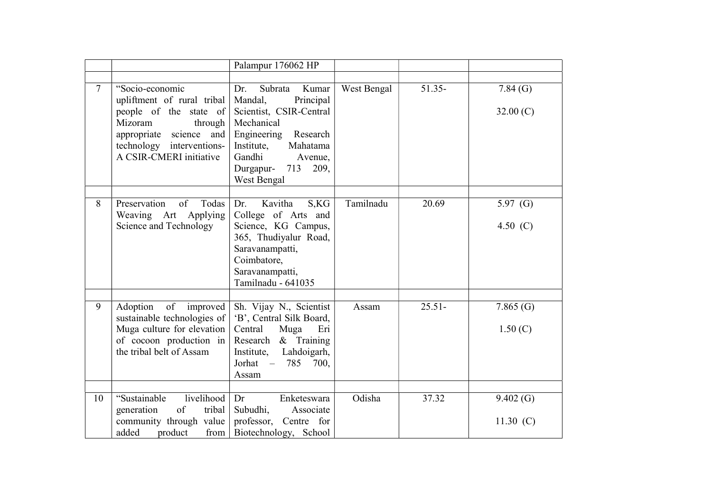|    |                                                                                                                                                                                          | Palampur 176062 HP                                                                                                                                                                                            |             |           |                                     |
|----|------------------------------------------------------------------------------------------------------------------------------------------------------------------------------------------|---------------------------------------------------------------------------------------------------------------------------------------------------------------------------------------------------------------|-------------|-----------|-------------------------------------|
| 7  | "Socio-economic<br>upliftment of rural tribal<br>people of the state of<br>Mizoram<br>through<br>appropriate<br>science<br>and  <br>technology interventions-<br>A CSIR-CMERI initiative | Subrata<br>Kumar<br>Dr.<br>Mandal,<br>Principal<br>Scientist, CSIR-Central<br>Mechanical<br>Engineering<br>Research<br>Institute,<br>Mahatama<br>Gandhi<br>Avenue,<br>713<br>209,<br>Durgapur-<br>West Bengal | West Bengal | 51.35-    | 7.84(G)<br>32.00 $(C)$              |
| 8  | Todas<br>Preservation<br>of<br>Applying<br>Weaving Art<br>Science and Technology                                                                                                         | Kavitha<br>S,KG<br>Dr.<br>College of Arts and<br>Science, KG Campus,<br>365, Thudiyalur Road,<br>Saravanampatti,<br>Coimbatore,<br>Saravanampatti,<br>Tamilnadu - 641035                                      | Tamilnadu   | 20.69     | $\overline{5.97}$ (G)<br>4.50 $(C)$ |
| 9  | Adoption<br>of<br>improved<br>sustainable technologies of<br>Muga culture for elevation<br>of cocoon production in<br>the tribal belt of Assam                                           | Sh. Vijay N., Scientist<br>'B', Central Silk Board,<br>Central<br>Muga<br>Eri<br>Research & Training<br>Lahdoigarh,<br>Institute,<br>Jorhat<br>785<br>700,<br>$\equiv$<br>Assam                               | Assam       | $25.51 -$ | 7.865(G)<br>1.50(C)                 |
| 10 | "Sustainable<br>livelihood<br>tribal<br>generation<br>of<br>community through value<br>added<br>product<br>from                                                                          | Enketeswara<br>Dr<br>Subudhi,<br>Associate<br>professor, Centre for<br>Biotechnology, School                                                                                                                  | Odisha      | 37.32     | 9.402(G)<br>11.30 $(C)$             |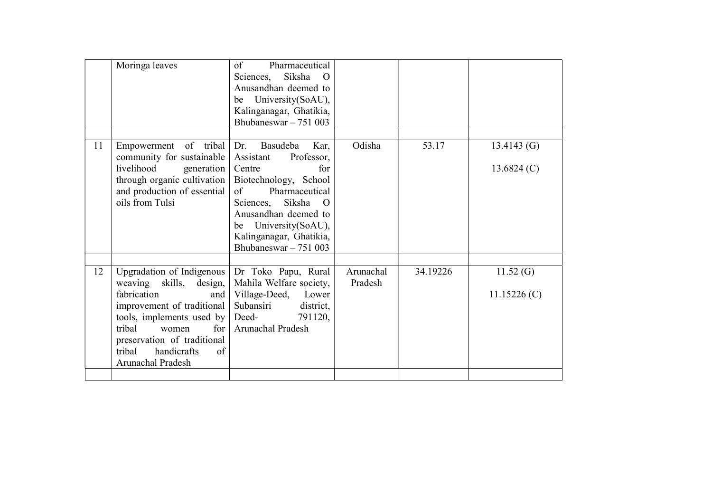|    | Moringa leaves                                                                                                                                                                                                                                        | Pharmaceutical<br>of<br>Siksha<br>Sciences,<br>$\Omega$<br>Anusandhan deemed to<br>University(SoAU),<br>be<br>Kalinganagar, Ghatikia,<br>Bhubaneswar $-751003$                                                                                                             |                      |          |                             |
|----|-------------------------------------------------------------------------------------------------------------------------------------------------------------------------------------------------------------------------------------------------------|----------------------------------------------------------------------------------------------------------------------------------------------------------------------------------------------------------------------------------------------------------------------------|----------------------|----------|-----------------------------|
| 11 | Empowerment of tribal<br>community for sustainable<br>livelihood<br>generation $ $<br>through organic cultivation<br>and production of essential<br>oils from Tulsi                                                                                   | Basudeba<br>Kar,<br>Dr.<br>Assistant<br>Professor,<br>Centre<br>for<br>Biotechnology, School<br>Pharmaceutical<br>$\sigma$<br>Siksha<br>Sciences,<br>$\overline{O}$<br>Anusandhan deemed to<br>University(SoAU),<br>be<br>Kalinganagar, Ghatikia,<br>Bhubaneswar $-751003$ | Odisha               | 53.17    | 13.4143(G)<br>13.6824 $(C)$ |
| 12 | Upgradation of Indigenous<br>skills, design,<br>weaving<br>fabrication<br>and<br>improvement of traditional<br>tools, implements used by<br>for<br>tribal<br>women<br>preservation of traditional<br>handicrafts<br>tribal<br>of<br>Arunachal Pradesh | Dr Toko Papu, Rural<br>Mahila Welfare society,<br>Village-Deed,<br>Lower<br>Subansiri<br>district,<br>Deed-<br>791120,<br>Arunachal Pradesh                                                                                                                                | Arunachal<br>Pradesh | 34.19226 | 11.52(G)<br>$11.15226$ (C)  |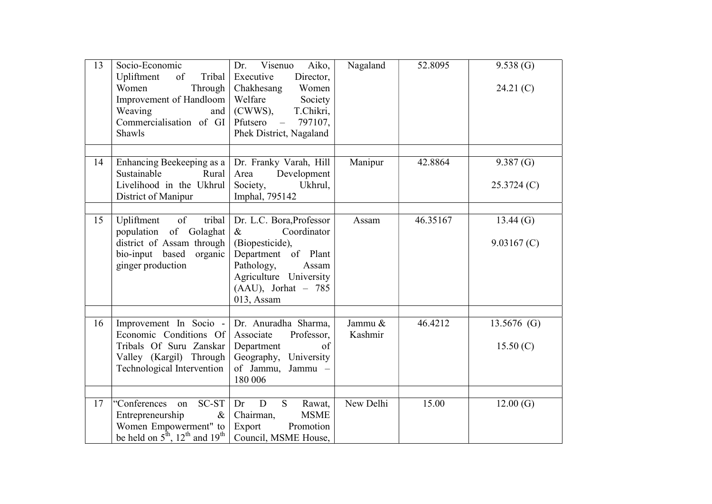| 13 | Socio-Economic<br>Upliftment<br>of<br>Tribal<br>Women<br>Through  <br>Improvement of Handloom<br>Weaving<br>and  <br>Commercialisation of GI<br>Shawls      | Visenuo<br>Aiko,<br>Dr.<br>Executive<br>Director,<br>Chakhesang<br>Women<br>Welfare<br>Society<br>T.Chikri,<br>$(CWWS)$ ,<br>Pfutsero<br>797107,<br>$\overline{\phantom{a}}$<br>Phek District, Nagaland | Nagaland           | 52.8095  | 9.538(G)<br>24.21(C)    |
|----|-------------------------------------------------------------------------------------------------------------------------------------------------------------|---------------------------------------------------------------------------------------------------------------------------------------------------------------------------------------------------------|--------------------|----------|-------------------------|
| 14 | Enhancing Beekeeping as a<br>Sustainable<br>Rural<br>Livelihood in the Ukhrul<br>District of Manipur                                                        | Dr. Franky Varah, Hill<br>Development<br>Area<br>Society,<br>Ukhrul,<br>Imphal, 795142                                                                                                                  | Manipur            | 42.8864  | 9.387(G)<br>25.3724 (C) |
| 15 | of<br>Upliftment<br>tribal $ $<br>population of Golaghat<br>district of Assam through<br>bio-input based organic<br>ginger production                       | Dr. L.C. Bora, Professor<br>Coordinator<br>$\&$<br>(Biopesticide),<br>Department of Plant<br>Pathology,<br>Assam<br>Agriculture University<br>$(AAU)$ , Jorhat - 785<br>013, Assam                      | Assam              | 46.35167 | 13.44(G)<br>9.03167 (C) |
| 16 | Improvement In Socio - Dr. Anuradha Sharma,<br>Economic Conditions Of<br>Tribals Of Suru Zanskar<br>Valley (Kargil) Through<br>Technological Intervention   | Associate<br>Professor,<br>of<br>Department<br>Geography, University<br>of Jammu, Jammu -<br>180 006                                                                                                    | Jammu &<br>Kashmir | 46.4212  | 13.5676 (G)<br>15.50(C) |
| 17 | "Conferences<br>$SC-ST$ Dr<br>on<br>Entrepreneurship<br>$\&$<br>Women Empowerment" to<br>be held on $5^{\text{th}}$ , $12^{\text{th}}$ and $19^{\text{th}}$ | D<br><sub>S</sub><br>Rawat,<br>Chairman,<br><b>MSME</b><br>Export<br>Promotion<br>Council, MSME House,                                                                                                  | New Delhi          | 15.00    | 12.00(G)                |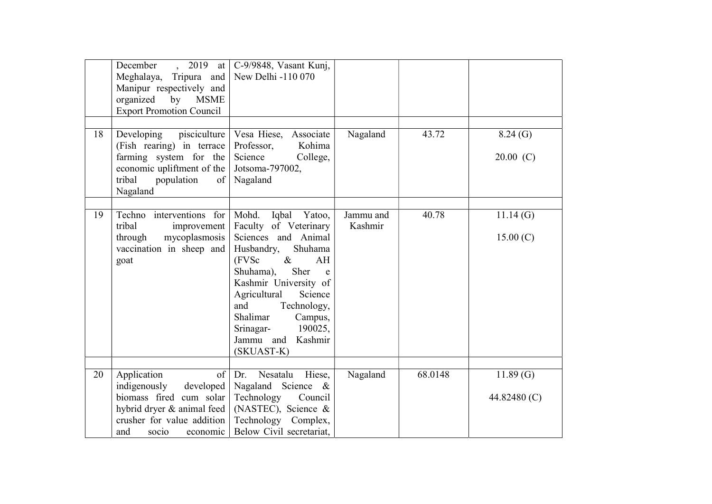|    | December<br>Meghalaya, Tripura and<br>Manipur respectively and<br>by<br>organized<br><b>MSME</b><br><b>Export Promotion Council</b>                               | , 2019 at $ C-9/9848$ , Vasant Kunj,<br>New Delhi -110 070                                                                                                                                                                                                                                                         |                      |         |                         |
|----|-------------------------------------------------------------------------------------------------------------------------------------------------------------------|--------------------------------------------------------------------------------------------------------------------------------------------------------------------------------------------------------------------------------------------------------------------------------------------------------------------|----------------------|---------|-------------------------|
| 18 | Developing<br>pisciculture<br>(Fish rearing) in terrace<br>farming system for the<br>economic upliftment of the<br>tribal<br>population<br>of<br>Nagaland         | Vesa Hiese,<br>Associate<br>Kohima<br>Professor,<br>College,<br>Science<br>Jotsoma-797002,<br>Nagaland                                                                                                                                                                                                             | Nagaland             | 43.72   | 8.24(G)<br>20.00(C)     |
| 19 | Techno interventions for<br>tribal<br>improvement<br>mycoplasmosis<br>through<br>vaccination in sheep and<br>goat                                                 | Mohd.<br>Yatoo,<br>Iqbal<br>Faculty of Veterinary<br>Sciences and Animal<br>Husbandry,<br>Shuhama<br>$\&$<br>(FVSc)<br>AH<br>Sher<br>Shuhama),<br>e<br>Kashmir University of<br>Agricultural<br>Science<br>and<br>Technology,<br>Shalimar<br>Campus,<br>Srinagar-<br>190025,<br>Jammu and<br>Kashmir<br>(SKUAST-K) | Jammu and<br>Kashmir | 40.78   | 11.14(G)<br>15.00(C)    |
| 20 | Application<br>of<br>indigenously<br>developed<br>biomass fired cum solar<br>hybrid dryer & animal feed<br>crusher for value addition<br>and<br>economic<br>socio | Nesatalu<br>Hiese,<br>Dr.<br>Nagaland Science<br>$\&$<br>Technology<br>Council<br>(NASTEC), Science &<br>Technology Complex,<br>Below Civil secretariat,                                                                                                                                                           | Nagaland             | 68.0148 | 11.89(G)<br>44.82480(C) |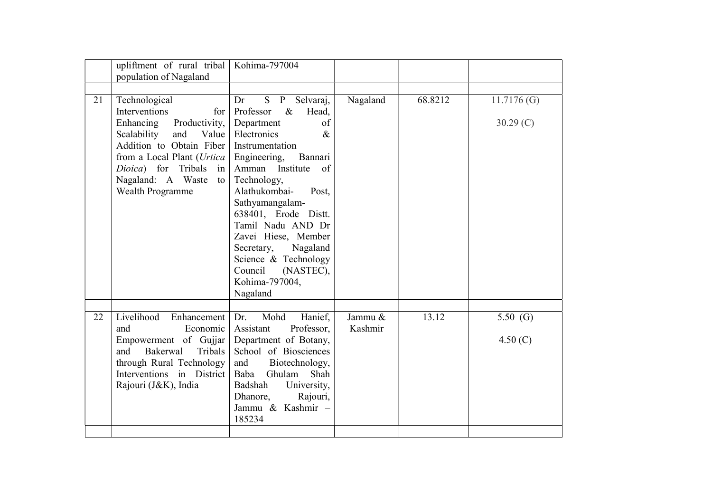|    | upliftment of rural tribal   Kohima-797004                                                                                                                                                                                                             |                                                                                                                                                                                                                                                                                                                                                                                                                |                    |         |                          |
|----|--------------------------------------------------------------------------------------------------------------------------------------------------------------------------------------------------------------------------------------------------------|----------------------------------------------------------------------------------------------------------------------------------------------------------------------------------------------------------------------------------------------------------------------------------------------------------------------------------------------------------------------------------------------------------------|--------------------|---------|--------------------------|
|    | population of Nagaland                                                                                                                                                                                                                                 |                                                                                                                                                                                                                                                                                                                                                                                                                |                    |         |                          |
| 21 | Technological<br>Interventions<br>for<br>Enhancing<br>Productivity,<br>Scalability<br>and<br>Value<br>Addition to Obtain Fiber<br>from a Local Plant (Urtica<br>Dioica) for Tribals<br>$\frac{1}{2}$ in<br>Nagaland: A Waste<br>to<br>Wealth Programme | S P<br>Selvaraj,<br>Dr<br>Professor<br>$\&$<br>Head,<br>of<br>Department<br>Electronics<br>$\&$<br>Instrumentation<br>Engineering,<br>Bannari<br>Amman Institute<br>of<br>Technology,<br>Alathukombai-<br>Post,<br>Sathyamangalam-<br>638401, Erode Distt.<br>Tamil Nadu AND Dr<br>Zavei Hiese, Member<br>Secretary,<br>Nagaland<br>Science & Technology<br>Council<br>(NASTEC),<br>Kohima-797004,<br>Nagaland | Nagaland           | 68.8212 | 11.7176(G)<br>30.29(C)   |
| 22 | Livelihood<br>Enhancement  <br>Economic  <br>and<br>Empowerment of Gujjar<br>Bakerwal<br>Tribals<br>and<br>through Rural Technology<br>Interventions in District<br>Rajouri (J&K), India                                                               | Mohd<br>Dr.<br>Hanief,<br>Professor,<br>Assistant<br>Department of Botany,<br>School of Biosciences<br>and<br>Biotechnology,<br>Shah<br>Baba<br>Ghulam<br>Badshah<br>University,<br>Rajouri,<br>Dhanore,<br>Jammu & Kashmir -<br>185234                                                                                                                                                                        | Jammu &<br>Kashmir | 13.12   | 5.50 $(G)$<br>4.50 $(C)$ |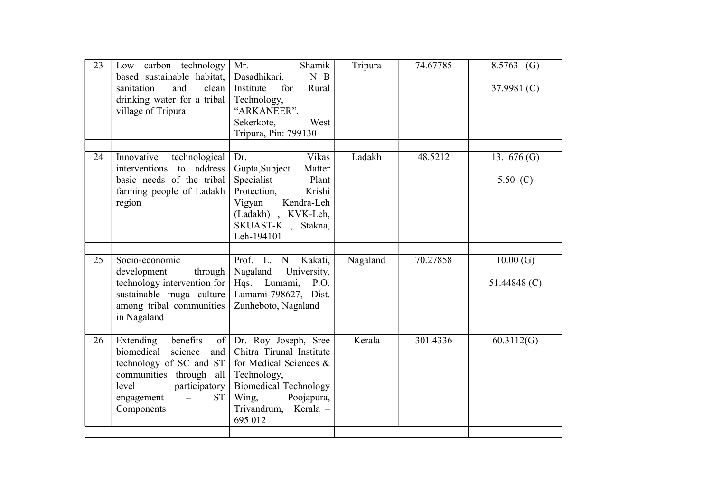| 23 | Low carbon technology<br>based sustainable habitat,<br>and<br>clean<br>sanitation<br>drinking water for a tribal<br>village of Tripura                                             | Shamik<br>Mr.<br>N B<br>Dasadhikari,<br>for<br>Institute<br>Rural<br>Technology,<br>"ARKANEER",<br>Sekerkote,<br>West<br>Tripura, Pin: 799130                                          | Tripura  | 74.67785 | $8.5763$ (G)<br>37.9981 (C) |
|----|------------------------------------------------------------------------------------------------------------------------------------------------------------------------------------|----------------------------------------------------------------------------------------------------------------------------------------------------------------------------------------|----------|----------|-----------------------------|
| 24 | Innovative<br>technological<br>interventions to address<br>basic needs of the tribal<br>farming people of Ladakh<br>region                                                         | Vikas<br>Dr.<br>Gupta, Subject<br>Matter<br>Specialist<br>Plant<br>Protection,<br>Krishi<br>Kendra-Leh<br>Vigyan<br>(Ladakh), KVK-Leh,<br>SKUAST-K, Stakna,<br>Leh-194101              | Ladakh   | 48.5212  | $13.1676$ (G)<br>5.50 $(C)$ |
| 25 | Socio-economic<br>development<br>through<br>technology intervention for<br>sustainable muga culture<br>among tribal communities<br>in Nagaland                                     | Prof. L. N. Kakati,<br>University,<br>Nagaland<br>Hqs.<br>Lumami,<br>P.O.<br>Lumami-798627, Dist.<br>Zunheboto, Nagaland                                                               | Nagaland | 70.27858 | 10.00(G)<br>51.44848 (C)    |
| 26 | Extending<br>benefits<br>biomedical<br>science<br>and  <br>technology of SC and ST<br>communities through all<br>level<br>participatory  <br><b>ST</b><br>engagement<br>Components | of Dr. Roy Joseph, Sree<br>Chitra Tirunal Institute<br>for Medical Sciences &<br>Technology,<br><b>Biomedical Technology</b><br>Poojapura,<br>Wing,<br>Trivandrum, Kerala -<br>695 012 | Kerala   | 301.4336 | 60.3112(G)                  |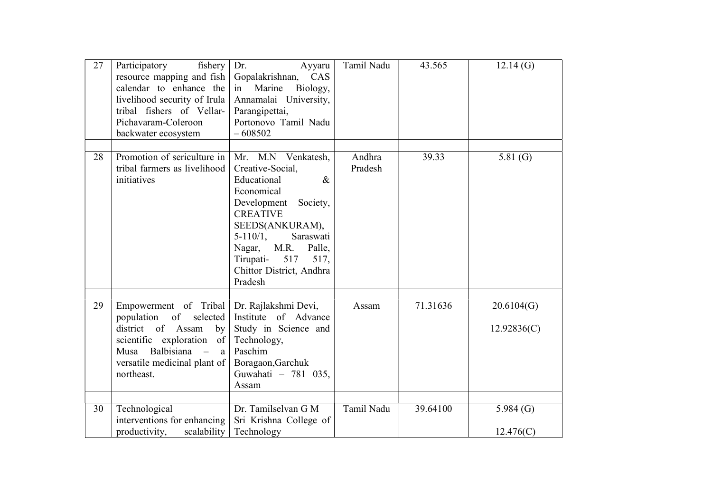| 27 | Participatory<br>fishery<br>resource mapping and fish<br>calendar to enhance the<br>livelihood security of Irula<br>tribal fishers of Vellar-<br>Pichavaram-Coleroon<br>backwater ecosystem            | Dr.<br>Ayyaru<br>Gopalakrishnan,<br>CAS<br>Marine<br>Biology,<br>in<br>Annamalai University,<br>Parangipettai,<br>Portonovo Tamil Nadu<br>$-608502$                                                                                                                  | Tamil Nadu        | 43.565   | 12.14(G)                  |
|----|--------------------------------------------------------------------------------------------------------------------------------------------------------------------------------------------------------|----------------------------------------------------------------------------------------------------------------------------------------------------------------------------------------------------------------------------------------------------------------------|-------------------|----------|---------------------------|
| 28 | Promotion of sericulture in<br>tribal farmers as livelihood<br>initiatives                                                                                                                             | Mr. M.N Venkatesh,<br>Creative-Social,<br>Educational<br>$\&$<br>Economical<br>Development Society,<br><b>CREATIVE</b><br>SEEDS(ANKURAM),<br>$5-110/1$ ,<br>Saraswati<br>M.R.<br>Nagar,<br>Palle,<br>517<br>Tirupati-<br>517,<br>Chittor District, Andhra<br>Pradesh | Andhra<br>Pradesh | 39.33    | 5.81 $(G)$                |
|    |                                                                                                                                                                                                        |                                                                                                                                                                                                                                                                      |                   |          |                           |
| 29 | Empowerment of Tribal<br>of<br>population<br>selected<br>district of<br>Assam<br>by<br>scientific exploration<br>$\sigma$ f<br>Balbisiana -<br>Musa<br>a<br>versatile medicinal plant of<br>northeast. | Dr. Rajlakshmi Devi,<br>Institute of Advance<br>Study in Science and<br>Technology,<br>Paschim<br>Boragaon, Garchuk<br>Guwahati - 781 035,<br>Assam                                                                                                                  | Assam             | 71.31636 | 20.6104(G)<br>12.92836(C) |
| 30 |                                                                                                                                                                                                        | Dr. Tamilselvan G M                                                                                                                                                                                                                                                  | Tamil Nadu        | 39.64100 | 5.984 $(G)$               |
|    | Technological<br>interventions for enhancing<br>productivity,<br>scalability                                                                                                                           | Sri Krishna College of<br>Technology                                                                                                                                                                                                                                 |                   |          | 12.476(C)                 |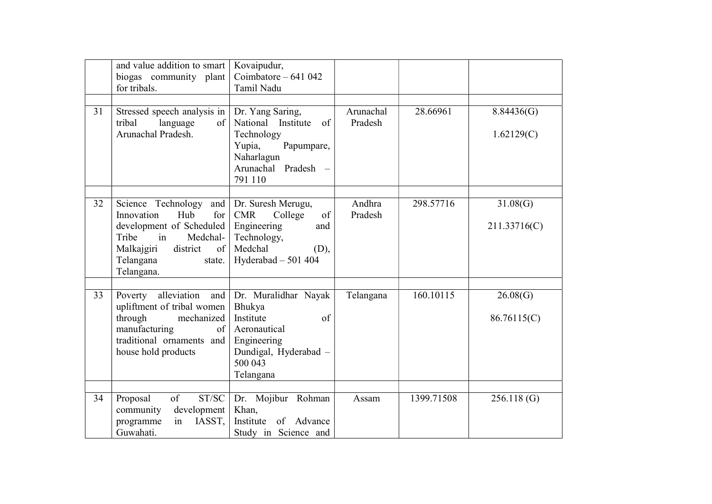|    | and value addition to smart<br>biogas community plant<br>for tribals.                                                                                                          | Kovaipudur,<br>Coimbatore $-641042$<br>Tamil Nadu                                                                                  |                      |            |                          |
|----|--------------------------------------------------------------------------------------------------------------------------------------------------------------------------------|------------------------------------------------------------------------------------------------------------------------------------|----------------------|------------|--------------------------|
| 31 | Stressed speech analysis in<br>tribal<br>language<br>$\sigma$<br>Arunachal Pradesh.                                                                                            | Dr. Yang Saring,<br>National Institute<br>of<br>Technology<br>Yupia,<br>Papumpare,<br>Naharlagun<br>Arunachal Pradesh -<br>791 110 | Arunachal<br>Pradesh | 28.66961   | 8.84436(G)<br>1.62129(C) |
| 32 | Science Technology and<br>Hub<br>for<br>Innovation<br>development of Scheduled<br>Tribe<br>in<br>Medchal-<br>Malkajgiri<br>district<br>of<br>Telangana<br>state.<br>Telangana. | Dr. Suresh Merugu,<br><b>CMR</b><br>College<br>of<br>Engineering<br>and<br>Technology,<br>Medchal<br>(D),<br>Hyderabad $-501404$   | Andhra<br>Pradesh    | 298.57716  | 31.08(G)<br>211.33716(C) |
| 33 | alleviation<br>and<br>Poverty<br>upliftment of tribal women<br>through<br>mechanized<br>manufacturing<br>of<br>traditional ornaments and<br>house hold products                | Dr. Muralidhar Nayak<br>Bhukya<br>Institute<br>of<br>Aeronautical<br>Engineering<br>Dundigal, Hyderabad -<br>500 043<br>Telangana  | Telangana            | 160.10115  | 26.08(G)<br>86.76115(C)  |
| 34 | ST/SC<br>of<br>Proposal<br>community<br>development<br>programme<br>IASST,<br>in<br>Guwahati.                                                                                  | Dr. Mojibur Rohman<br>Khan,<br>Institute<br>of Advance<br>Study in Science and                                                     | Assam                | 1399.71508 | 256.118(G)               |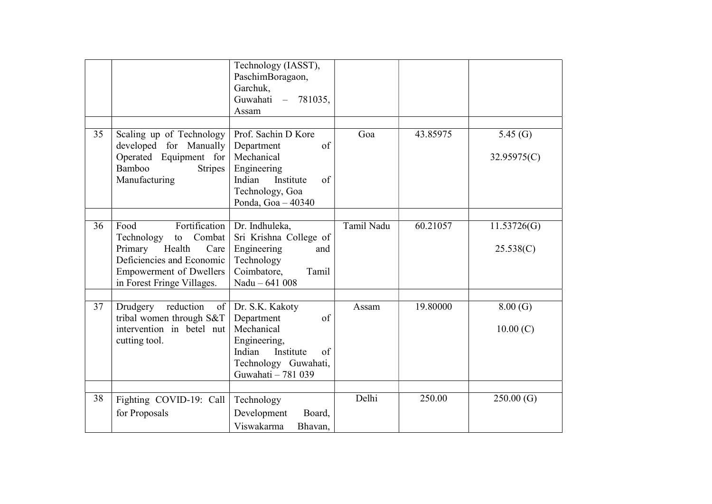|    |                                                                                                                                                                            | Technology (IASST),<br>PaschimBoragaon,<br>Garchuk,<br>Guwahati - 781035,<br>Assam                                                                  |            |          |                           |
|----|----------------------------------------------------------------------------------------------------------------------------------------------------------------------------|-----------------------------------------------------------------------------------------------------------------------------------------------------|------------|----------|---------------------------|
| 35 | Scaling up of Technology<br>developed for Manually<br>Operated Equipment for<br>Bamboo<br><b>Stripes</b><br>Manufacturing                                                  | Prof. Sachin D Kore<br>Department<br>of<br>Mechanical<br>Engineering<br>Indian<br>Institute<br>$\sigma$ f<br>Technology, Goa<br>Ponda, Goa $-40340$ | Goa        | 43.85975 | 5.45 $(G)$<br>32.95975(C) |
| 36 | Fortification<br>Food<br>to Combat<br>Technology<br>Primary<br>Health<br>Care<br>Deficiencies and Economic<br><b>Empowerment of Dwellers</b><br>in Forest Fringe Villages. | Dr. Indhuleka,<br>Sri Krishna College of<br>Engineering<br>and<br>Technology<br>Coimbatore,<br>Tamil<br>Nadu - 641 008                              | Tamil Nadu | 60.21057 | 11.53726(G)<br>25.538(C)  |
| 37 | reduction<br>Drudgery<br>$\sigma$ f<br>tribal women through S&T<br>intervention in betel nut<br>cutting tool.                                                              | Dr. S.K. Kakoty<br>Department<br>of<br>Mechanical<br>Engineering,<br>Indian<br>Institute<br>of<br>Technology Guwahati,<br>Guwahati - 781 039        | Assam      | 19.80000 | 8.00(G)<br>10.00(C)       |
| 38 | Fighting COVID-19: Call<br>for Proposals                                                                                                                                   | Technology<br>Development<br>Board,<br>Viswakarma<br>Bhavan,                                                                                        | Delhi      | 250.00   | 250.00(G)                 |